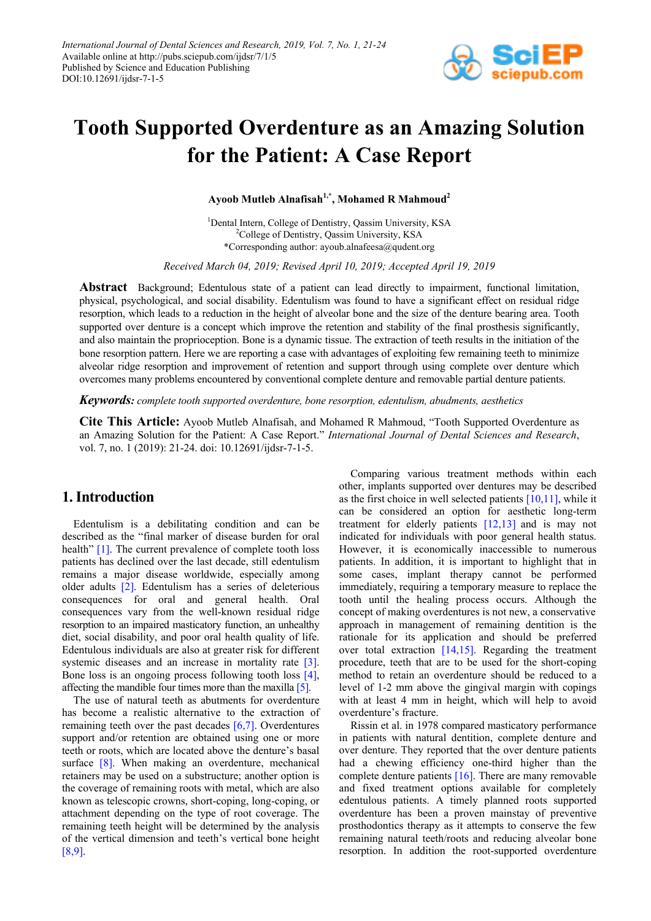

# **Tooth Supported Overdenture as an Amazing Solution for the Patient: A Case Report**

**Ayoob Mutleb Alnafisah1,\* , Mohamed R Mahmoud<sup>2</sup>**

<sup>1</sup>Dental Intern, College of Dentistry, Qassim University, KSA <sup>2</sup>College of Dentistry, Qassim University, KSA \*Corresponding author: ayoub.alnafeesa@qudent.org

*Received March 04, 2019; Revised April 10, 2019; Accepted April 19, 2019*

**Abstract** Background; Edentulous state of a patient can lead directly to impairment, functional limitation, physical, psychological, and social disability. Edentulism was found to have a significant effect on residual ridge resorption, which leads to a reduction in the height of alveolar bone and the size of the denture bearing area. Tooth supported over denture is a concept which improve the retention and stability of the final prosthesis significantly, and also maintain the proprioception. Bone is a dynamic tissue. The extraction of teeth results in the initiation of the bone resorption pattern. Here we are reporting a case with advantages of exploiting few remaining teeth to minimize alveolar ridge resorption and improvement of retention and support through using complete over denture which overcomes many problems encountered by conventional complete denture and removable partial denture patients.

*Keywords: complete tooth supported overdenture, bone resorption, edentulism, abudments, aesthetics*

**Cite This Article:** Ayoob Mutleb Alnafisah, and Mohamed R Mahmoud, "Tooth Supported Overdenture as an Amazing Solution for the Patient: A Case Report." *International Journal of Dental Sciences and Research*, vol. 7, no. 1 (2019): 21-24. doi: 10.12691/ijdsr-7-1-5.

# **1. Introduction**

Edentulism is a debilitating condition and can be described as the "final marker of disease burden for oral health" [\[1\].](#page-3-0) The current prevalence of complete tooth loss patients has declined over the last decade, still edentulism remains a major disease worldwide, especially among older adults [\[2\].](#page-3-1) Edentulism has a series of deleterious consequences for oral and general health. Oral consequences vary from the well-known residual ridge resorption to an impaired masticatory function, an unhealthy diet, social disability, and poor oral health quality of life. Edentulous individuals are also at greater risk for different systemic diseases and an increase in mortality rate [\[3\].](#page-3-2) Bone loss is an ongoing process following tooth loss [\[4\],](#page-3-3) affecting the mandible four times more than the maxill[a \[5\].](#page-3-4)

The use of natural teeth as abutments for overdenture has become a realistic alternative to the extraction of remaining teeth over the past decades [\[6,7\].](#page-3-5) Overdentures support and/or retention are obtained using one or more teeth or roots, which are located above the denture's basal surface [\[8\].](#page-3-6) When making an overdenture, mechanical retainers may be used on a substructure; another option is the coverage of remaining roots with metal, which are also known as telescopic crowns, short-coping, long-coping, or attachment depending on the type of root coverage. The remaining teeth height will be determined by the analysis of the vertical dimension and teeth's vertical bone height [\[8,9\].](#page-3-6)

Comparing various treatment methods within each other, implants supported over dentures may be described as the first choice in well selected patients  $[10,11]$ , while it can be considered an option for aesthetic long-term treatment for elderly patients  $[12,13]$  and is may not indicated for individuals with poor general health status. However, it is economically inaccessible to numerous patients. In addition, it is important to highlight that in some cases, implant therapy cannot be performed immediately, requiring a temporary measure to replace the tooth until the healing process occurs. Although the concept of making overdentures is not new, a conservative approach in management of remaining dentition is the rationale for its application and should be preferred over total extraction [\[14,15\].](#page-3-9) Regarding the treatment procedure, teeth that are to be used for the short-coping method to retain an overdenture should be reduced to a level of 1-2 mm above the gingival margin with copings with at least 4 mm in height, which will help to avoid overdenture's fracture.

Rissin et al. in 1978 compared masticatory performance in patients with natural dentition, complete denture and over denture. They reported that the over denture patients had a chewing efficiency one-third higher than the complete denture patients [\[16\].](#page-3-10) There are many removable and fixed treatment options available for completely edentulous patients. A timely planned roots supported overdenture has been a proven mainstay of preventive prosthodontics therapy as it attempts to conserve the few remaining natural teeth/roots and reducing alveolar bone resorption. In addition the root-supported overdenture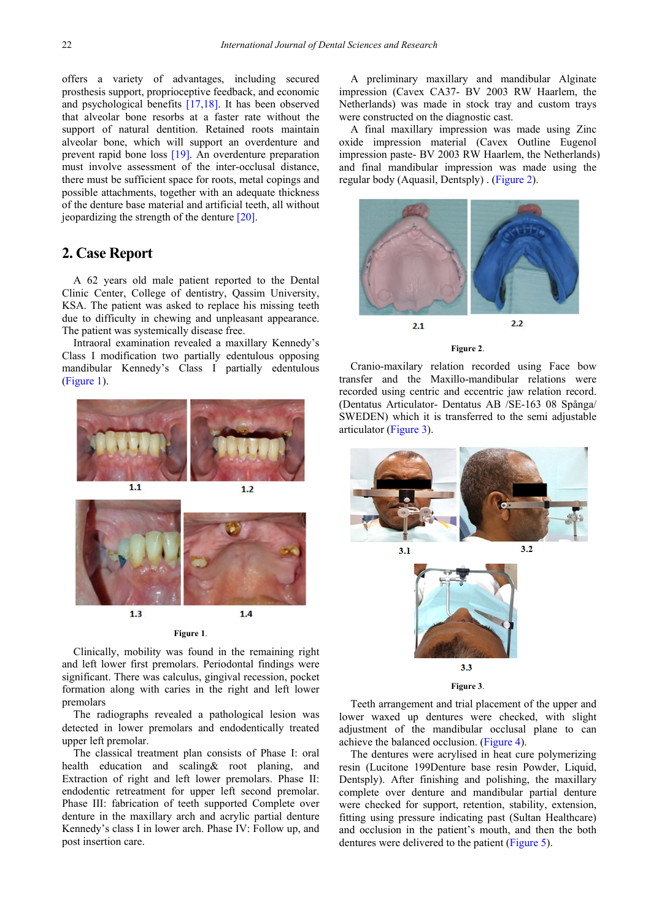offers a variety of advantages, including secured prosthesis support, proprioceptive feedback, and economic and psychological benefits [\[17,18\].](#page-3-11) It has been observed that alveolar bone resorbs at a faster rate without the support of natural dentition. Retained roots maintain alveolar bone, which will support an overdenture and prevent rapid bone loss [\[19\].](#page-3-12) An overdenture preparation must involve assessment of the inter-occlusal distance, there must be sufficient space for roots, metal copings and possible attachments, together with an adequate thickness of the denture base material and artificial teeth, all without jeopardizing the strength of the dentur[e \[20\].](#page-3-13)

# **2. Case Report**

A 62 years old male patient reported to the Dental Clinic Center, College of dentistry, Qassim University, KSA. The patient was asked to replace his missing teeth due to difficulty in chewing and unpleasant appearance. The patient was systemically disease free.

Intraoral examination revealed a maxillary Kennedy's Class I modification two partially edentulous opposing mandibular Kennedy's Class I partially edentulous [\(Figure 1\)](#page-1-0).

<span id="page-1-0"></span>



Clinically, mobility was found in the remaining right and left lower first premolars. Periodontal findings were significant. There was calculus, gingival recession, pocket formation along with caries in the right and left lower premolars

The radiographs revealed a pathological lesion was detected in lower premolars and endodentically treated upper left premolar.

The classical treatment plan consists of Phase I: oral health education and scaling& root planing, and Extraction of right and left lower premolars. Phase II: endodentic retreatment for upper left second premolar. Phase III: fabrication of teeth supported Complete over denture in the maxillary arch and acrylic partial denture Kennedy's class I in lower arch. Phase IV: Follow up, and post insertion care.

A preliminary maxillary and mandibular Alginate impression (Cavex CA37- BV 2003 RW Haarlem, the Netherlands) was made in stock tray and custom trays were constructed on the diagnostic cast.

A final maxillary impression was made using Zinc oxide impression material (Cavex Outline Eugenol impression paste- BV 2003 RW Haarlem, the Netherlands) and final mandibular impression was made using the regular body (Aquasil, Dentsply) . [\(Figure 2\)](#page-1-1).

<span id="page-1-1"></span>

**Figure 2**.

Cranio-maxilary relation recorded using Face bow transfer and the Maxillo-mandibular relations were recorded using centric and eccentric jaw relation record. (Dentatus Articulator- Dentatus AB /SE-163 08 Spånga/ SWEDEN) which it is transferred to the semi adjustable articulator [\(Figure 3\)](#page-1-2).

<span id="page-1-2"></span>

Teeth arrangement and trial placement of the upper and lower waxed up dentures were checked, with slight adjustment of the mandibular occlusal plane to can achieve the balanced occlusion. [\(Figure 4\)](#page-2-0).

The dentures were acrylised in heat cure polymerizing resin (Lucitone 199Denture base resin Powder, Liquid, Dentsply). After finishing and polishing, the maxillary complete over denture and mandibular partial denture were checked for support, retention, stability, extension, fitting using pressure indicating past (Sultan Healthcare) and occlusion in the patient's mouth, and then the both dentures were delivered to the patient [\(Figure 5\)](#page-2-1).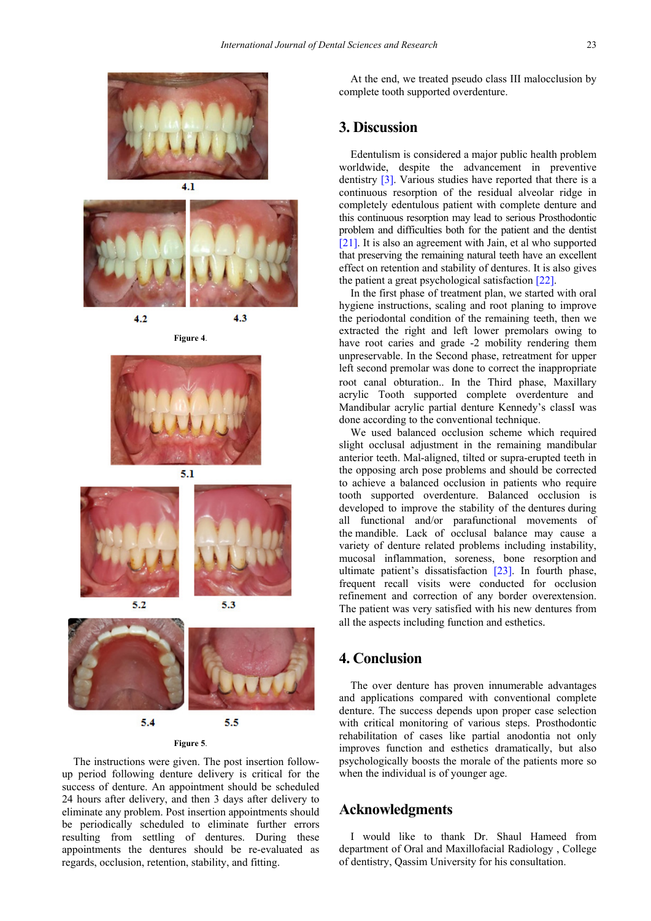<span id="page-2-0"></span>



**Figure 4**.

 $4.2$ 

<span id="page-2-1"></span>

 $5.1$ 



 $5.2$ 



5.3

**Figure 5**.

The instructions were given. The post insertion followup period following denture delivery is critical for the success of denture. An appointment should be scheduled 24 hours after delivery, and then 3 days after delivery to eliminate any problem. Post insertion appointments should be periodically scheduled to eliminate further errors resulting from settling of dentures. During these appointments the dentures should be re-evaluated as regards, occlusion, retention, stability, and fitting.

At the end, we treated pseudo class III malocclusion by complete tooth supported overdenture.

### **3. Discussion**

Edentulism is considered a major public health problem worldwide, despite the advancement in preventive dentistry [\[3\].](#page-3-2) Various studies have reported that there is a continuous resorption of the residual alveolar ridge in completely edentulous patient with complete denture and this continuous resorption may lead to serious Prosthodontic problem and difficulties both for the patient and the dentist [\[21\].](#page-3-14) It is also an agreement with Jain, et al who supported that preserving the remaining natural teeth have an excellent effect on retention and stability of dentures. It is also gives the patient a great psychological satisfaction [\[22\].](#page-3-15)

In the first phase of treatment plan, we started with oral hygiene instructions, scaling and root planing to improve the periodontal condition of the remaining teeth, then we extracted the right and left lower premolars owing to have root caries and grade -2 mobility rendering them unpreservable. In the Second phase, retreatment for upper left second premolar was done to correct the inappropriate root canal obturation.. In the Third phase, Maxillary acrylic Tooth supported complete overdenture and Mandibular acrylic partial denture Kennedy's classI was done according to the conventional technique.

We used balanced occlusion scheme which required slight occlusal adjustment in the remaining mandibular anterior teeth. Mal-aligned, tilted or supra-erupted teeth in the opposing arch pose problems and should be corrected to achieve a balanced occlusion in patients who require tooth supported overdenture. Balanced occlusion is developed to improve the stability of the dentures during all functional and/or parafunctional movements of the mandible. Lack of occlusal balance may cause a variety of denture related problems including instability, mucosal inflammation, soreness, bone resorption and ultimate patient's dissatisfaction [\[23\].](#page-3-16) In fourth phase, frequent recall visits were conducted for occlusion refinement and correction of any border overextension. The patient was very satisfied with his new dentures from all the aspects including function and esthetics.

# **4. Conclusion**

The over denture has proven innumerable advantages and applications compared with conventional complete denture. The success depends upon proper case selection with critical monitoring of various steps. Prosthodontic rehabilitation of cases like partial anodontia not only improves function and esthetics dramatically, but also psychologically boosts the morale of the patients more so when the individual is of younger age.

#### **Acknowledgments**

I would like to thank Dr. Shaul Hameed from department of Oral and Maxillofacial Radiology , College of dentistry, Qassim University for his consultation.